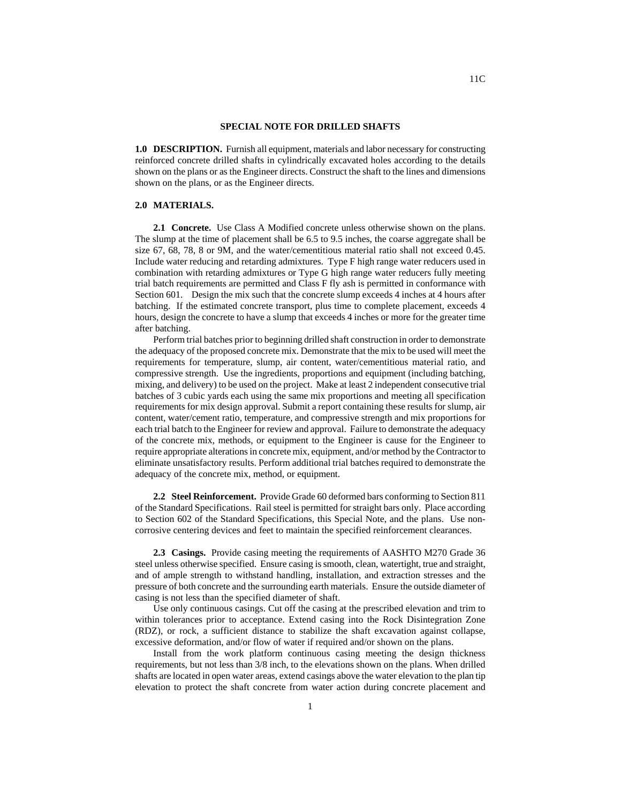## **SPECIAL NOTE FOR DRILLED SHAFTS**

**1.0 DESCRIPTION.** Furnish all equipment, materials and labor necessary for constructing reinforced concrete drilled shafts in cylindrically excavated holes according to the details shown on the plans or as the Engineer directs. Construct the shaft to the lines and dimensions shown on the plans, or as the Engineer directs.

## **2.0 MATERIALS.**

**2.1 Concrete.** Use Class A Modified concrete unless otherwise shown on the plans. The slump at the time of placement shall be 6.5 to 9.5 inches, the coarse aggregate shall be size 67, 68, 78, 8 or 9M, and the water/cementitious material ratio shall not exceed 0.45. Include water reducing and retarding admixtures. Type F high range water reducers used in combination with retarding admixtures or Type G high range water reducers fully meeting trial batch requirements are permitted and Class F fly ash is permitted in conformance with Section 601. Design the mix such that the concrete slump exceeds 4 inches at 4 hours after batching. If the estimated concrete transport, plus time to complete placement, exceeds 4 hours, design the concrete to have a slump that exceeds 4 inches or more for the greater time after batching.

Perform trial batches prior to beginning drilled shaft construction in order to demonstrate the adequacy of the proposed concrete mix. Demonstrate that the mix to be used will meet the requirements for temperature, slump, air content, water/cementitious material ratio, and compressive strength. Use the ingredients, proportions and equipment (including batching, mixing, and delivery) to be used on the project. Make at least 2 independent consecutive trial batches of 3 cubic yards each using the same mix proportions and meeting all specification requirements for mix design approval. Submit a report containing these results for slump, air content, water/cement ratio, temperature, and compressive strength and mix proportions for each trial batch to the Engineer for review and approval. Failure to demonstrate the adequacy of the concrete mix, methods, or equipment to the Engineer is cause for the Engineer to require appropriate alterations in concrete mix, equipment, and/or method by the Contractor to eliminate unsatisfactory results. Perform additional trial batches required to demonstrate the adequacy of the concrete mix, method, or equipment.

**2.2 Steel Reinforcement.** Provide Grade 60 deformed bars conforming to Section 811 of the Standard Specifications. Rail steel is permitted for straight bars only. Place according to Section 602 of the Standard Specifications, this Special Note, and the plans. Use noncorrosive centering devices and feet to maintain the specified reinforcement clearances.

**2.3 Casings.** Provide casing meeting the requirements of AASHTO M270 Grade 36 steel unless otherwise specified. Ensure casing is smooth, clean, watertight, true and straight, and of ample strength to withstand handling, installation, and extraction stresses and the pressure of both concrete and the surrounding earth materials. Ensure the outside diameter of casing is not less than the specified diameter of shaft.

Use only continuous casings. Cut off the casing at the prescribed elevation and trim to within tolerances prior to acceptance. Extend casing into the Rock Disintegration Zone (RDZ), or rock, a sufficient distance to stabilize the shaft excavation against collapse, excessive deformation, and/or flow of water if required and/or shown on the plans.

Install from the work platform continuous casing meeting the design thickness requirements, but not less than 3/8 inch, to the elevations shown on the plans. When drilled shafts are located in open water areas, extend casings above the water elevation to the plan tip elevation to protect the shaft concrete from water action during concrete placement and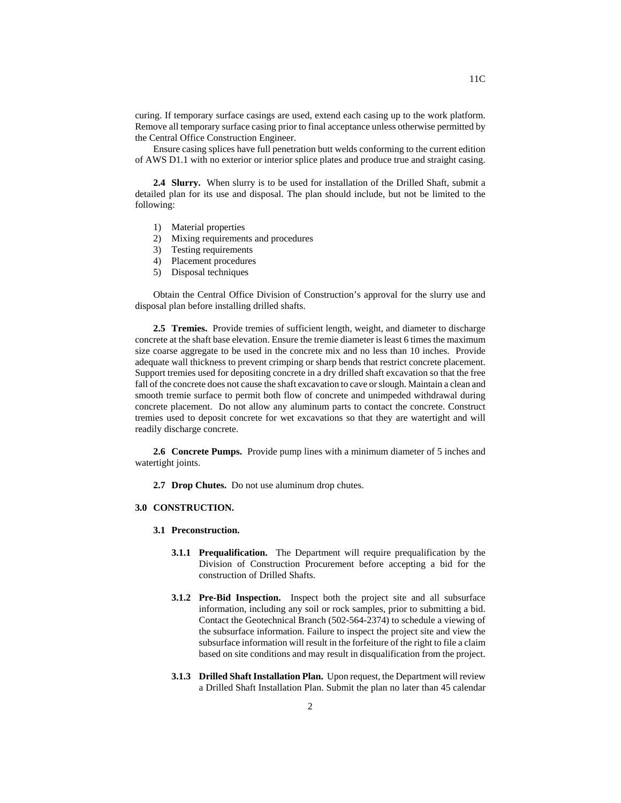curing. If temporary surface casings are used, extend each casing up to the work platform. Remove all temporary surface casing prior to final acceptance unless otherwise permitted by the Central Office Construction Engineer.

Ensure casing splices have full penetration butt welds conforming to the current edition of AWS D1.1 with no exterior or interior splice plates and produce true and straight casing.

**2.4 Slurry.** When slurry is to be used for installation of the Drilled Shaft, submit a detailed plan for its use and disposal. The plan should include, but not be limited to the following:

- 1) Material properties
- 2) Mixing requirements and procedures
- 3) Testing requirements
- 4) Placement procedures
- 5) Disposal techniques

Obtain the Central Office Division of Construction's approval for the slurry use and disposal plan before installing drilled shafts.

**2.5 Tremies.** Provide tremies of sufficient length, weight, and diameter to discharge concrete at the shaft base elevation. Ensure the tremie diameter is least 6 times the maximum size coarse aggregate to be used in the concrete mix and no less than 10 inches. Provide adequate wall thickness to prevent crimping or sharp bends that restrict concrete placement. Support tremies used for depositing concrete in a dry drilled shaft excavation so that the free fall of the concrete does not cause the shaft excavation to cave or slough. Maintain a clean and smooth tremie surface to permit both flow of concrete and unimpeded withdrawal during concrete placement. Do not allow any aluminum parts to contact the concrete. Construct tremies used to deposit concrete for wet excavations so that they are watertight and will readily discharge concrete.

**2.6 Concrete Pumps.** Provide pump lines with a minimum diameter of 5 inches and watertight joints.

**2.7 Drop Chutes.** Do not use aluminum drop chutes.

## **3.0 CONSTRUCTION.**

- **3.1 Preconstruction.** 
	- **3.1.1 Prequalification.** The Department will require prequalification by the Division of Construction Procurement before accepting a bid for the construction of Drilled Shafts.
	- **3.1.2 Pre-Bid Inspection.** Inspect both the project site and all subsurface information, including any soil or rock samples, prior to submitting a bid. Contact the Geotechnical Branch (502-564-2374) to schedule a viewing of the subsurface information. Failure to inspect the project site and view the subsurface information will result in the forfeiture of the right to file a claim based on site conditions and may result in disqualification from the project.
	- **3.1.3 Drilled Shaft Installation Plan.** Upon request, the Department will review a Drilled Shaft Installation Plan. Submit the plan no later than 45 calendar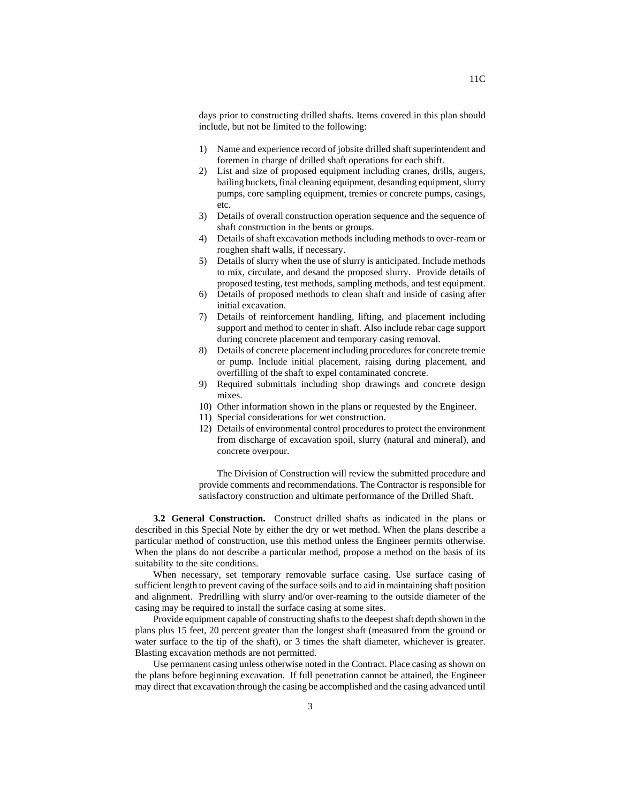days prior to constructing drilled shafts. Items covered in this plan should include, but not be limited to the following:

- 1) Name and experience record of jobsite drilled shaft superintendent and foremen in charge of drilled shaft operations for each shift.
- 2) List and size of proposed equipment including cranes, drills, augers, bailing buckets, final cleaning equipment, desanding equipment, slurry pumps, core sampling equipment, tremies or concrete pumps, casings, etc.
- 3) Details of overall construction operation sequence and the sequence of shaft construction in the bents or groups.
- 4) Details of shaft excavation methods including methods to over-ream or roughen shaft walls, if necessary.
- 5) Details of slurry when the use of slurry is anticipated. Include methods to mix, circulate, and desand the proposed slurry. Provide details of proposed testing, test methods, sampling methods, and test equipment.
- 6) Details of proposed methods to clean shaft and inside of casing after initial excavation.
- 7) Details of reinforcement handling, lifting, and placement including support and method to center in shaft. Also include rebar cage support during concrete placement and temporary casing removal.
- 8) Details of concrete placement including procedures for concrete tremie or pump. Include initial placement, raising during placement, and overfilling of the shaft to expel contaminated concrete.
- 9) Required submittals including shop drawings and concrete design mixes.
- 10) Other information shown in the plans or requested by the Engineer.
- 11) Special considerations for wet construction.
- 12) Details of environmental control procedures to protect the environment from discharge of excavation spoil, slurry (natural and mineral), and concrete overpour.

The Division of Construction will review the submitted procedure and provide comments and recommendations. The Contractor is responsible for satisfactory construction and ultimate performance of the Drilled Shaft.

**3.2 General Construction.** Construct drilled shafts as indicated in the plans or described in this Special Note by either the dry or wet method. When the plans describe a particular method of construction, use this method unless the Engineer permits otherwise. When the plans do not describe a particular method, propose a method on the basis of its suitability to the site conditions.

When necessary, set temporary removable surface casing. Use surface casing of sufficient length to prevent caving of the surface soils and to aid in maintaining shaft position and alignment. Predrilling with slurry and/or over-reaming to the outside diameter of the casing may be required to install the surface casing at some sites.

Provide equipment capable of constructing shafts to the deepest shaft depth shown in the plans plus 15 feet, 20 percent greater than the longest shaft (measured from the ground or water surface to the tip of the shaft), or 3 times the shaft diameter, whichever is greater. Blasting excavation methods are not permitted.

Use permanent casing unless otherwise noted in the Contract. Place casing as shown on the plans before beginning excavation. If full penetration cannot be attained, the Engineer may direct that excavation through the casing be accomplished and the casing advanced until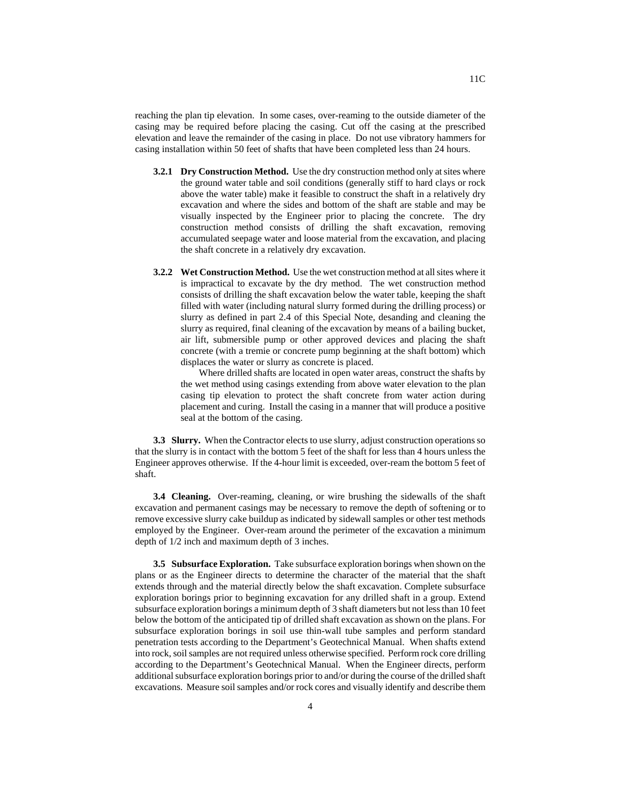reaching the plan tip elevation. In some cases, over-reaming to the outside diameter of the casing may be required before placing the casing. Cut off the casing at the prescribed elevation and leave the remainder of the casing in place. Do not use vibratory hammers for casing installation within 50 feet of shafts that have been completed less than 24 hours.

- **3.2.1 Dry Construction Method.** Use the dry construction method only at sites where the ground water table and soil conditions (generally stiff to hard clays or rock above the water table) make it feasible to construct the shaft in a relatively dry excavation and where the sides and bottom of the shaft are stable and may be visually inspected by the Engineer prior to placing the concrete. The dry construction method consists of drilling the shaft excavation, removing accumulated seepage water and loose material from the excavation, and placing the shaft concrete in a relatively dry excavation.
- **3.2.2 Wet Construction Method.** Use the wet construction method at all sites where it is impractical to excavate by the dry method. The wet construction method consists of drilling the shaft excavation below the water table, keeping the shaft filled with water (including natural slurry formed during the drilling process) or slurry as defined in part 2.4 of this Special Note, desanding and cleaning the slurry as required, final cleaning of the excavation by means of a bailing bucket, air lift, submersible pump or other approved devices and placing the shaft concrete (with a tremie or concrete pump beginning at the shaft bottom) which displaces the water or slurry as concrete is placed.

Where drilled shafts are located in open water areas, construct the shafts by the wet method using casings extending from above water elevation to the plan casing tip elevation to protect the shaft concrete from water action during placement and curing. Install the casing in a manner that will produce a positive seal at the bottom of the casing.

**3.3 Slurry.** When the Contractor elects to use slurry, adjust construction operations so that the slurry is in contact with the bottom 5 feet of the shaft for less than 4 hours unless the Engineer approves otherwise. If the 4-hour limit is exceeded, over-ream the bottom 5 feet of shaft.

**3.4 Cleaning.** Over-reaming, cleaning, or wire brushing the sidewalls of the shaft excavation and permanent casings may be necessary to remove the depth of softening or to remove excessive slurry cake buildup as indicated by sidewall samples or other test methods employed by the Engineer. Over-ream around the perimeter of the excavation a minimum depth of 1/2 inch and maximum depth of 3 inches.

**3.5 Subsurface Exploration.** Take subsurface exploration borings when shown on the plans or as the Engineer directs to determine the character of the material that the shaft extends through and the material directly below the shaft excavation. Complete subsurface exploration borings prior to beginning excavation for any drilled shaft in a group. Extend subsurface exploration borings a minimum depth of 3 shaft diameters but not less than 10 feet below the bottom of the anticipated tip of drilled shaft excavation as shown on the plans. For subsurface exploration borings in soil use thin-wall tube samples and perform standard penetration tests according to the Department's Geotechnical Manual. When shafts extend into rock, soil samples are not required unless otherwise specified. Perform rock core drilling according to the Department's Geotechnical Manual. When the Engineer directs, perform additional subsurface exploration borings prior to and/or during the course of the drilled shaft excavations. Measure soil samples and/or rock cores and visually identify and describe them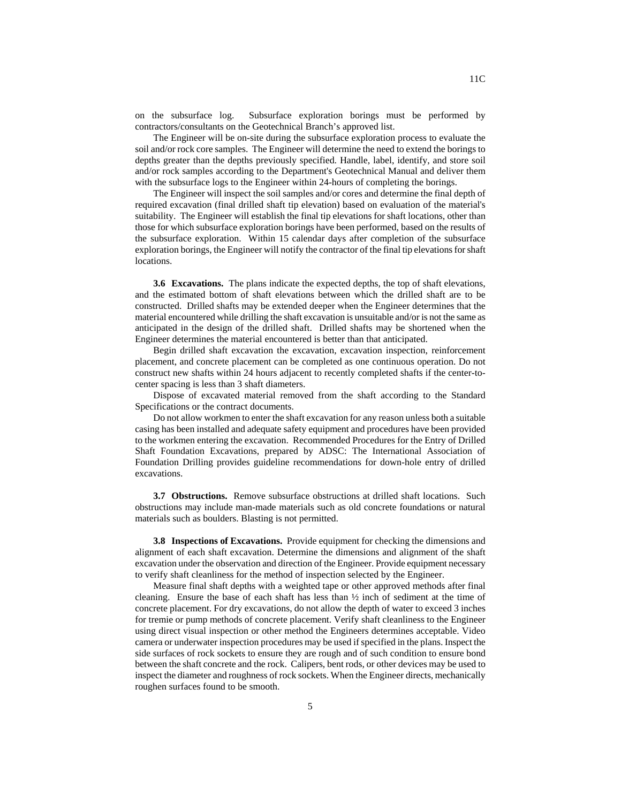on the subsurface log. Subsurface exploration borings must be performed by contractors/consultants on the Geotechnical Branch's approved list.

The Engineer will be on-site during the subsurface exploration process to evaluate the soil and/or rock core samples. The Engineer will determine the need to extend the borings to depths greater than the depths previously specified. Handle, label, identify, and store soil and/or rock samples according to the Department's Geotechnical Manual and deliver them with the subsurface logs to the Engineer within 24-hours of completing the borings.

The Engineer will inspect the soil samples and/or cores and determine the final depth of required excavation (final drilled shaft tip elevation) based on evaluation of the material's suitability. The Engineer will establish the final tip elevations for shaft locations, other than those for which subsurface exploration borings have been performed, based on the results of the subsurface exploration. Within 15 calendar days after completion of the subsurface exploration borings, the Engineer will notify the contractor of the final tip elevations for shaft locations.

**3.6 Excavations.** The plans indicate the expected depths, the top of shaft elevations, and the estimated bottom of shaft elevations between which the drilled shaft are to be constructed. Drilled shafts may be extended deeper when the Engineer determines that the material encountered while drilling the shaft excavation is unsuitable and/or is not the same as anticipated in the design of the drilled shaft. Drilled shafts may be shortened when the Engineer determines the material encountered is better than that anticipated.

Begin drilled shaft excavation the excavation, excavation inspection, reinforcement placement, and concrete placement can be completed as one continuous operation. Do not construct new shafts within 24 hours adjacent to recently completed shafts if the center-tocenter spacing is less than 3 shaft diameters.

Dispose of excavated material removed from the shaft according to the Standard Specifications or the contract documents.

Do not allow workmen to enter the shaft excavation for any reason unless both a suitable casing has been installed and adequate safety equipment and procedures have been provided to the workmen entering the excavation. Recommended Procedures for the Entry of Drilled Shaft Foundation Excavations, prepared by ADSC: The International Association of Foundation Drilling provides guideline recommendations for down-hole entry of drilled excavations.

**3.7 Obstructions.** Remove subsurface obstructions at drilled shaft locations. Such obstructions may include man-made materials such as old concrete foundations or natural materials such as boulders. Blasting is not permitted.

**3.8 Inspections of Excavations.** Provide equipment for checking the dimensions and alignment of each shaft excavation. Determine the dimensions and alignment of the shaft excavation under the observation and direction of the Engineer. Provide equipment necessary to verify shaft cleanliness for the method of inspection selected by the Engineer.

Measure final shaft depths with a weighted tape or other approved methods after final cleaning. Ensure the base of each shaft has less than  $\frac{1}{2}$  inch of sediment at the time of concrete placement. For dry excavations, do not allow the depth of water to exceed 3 inches for tremie or pump methods of concrete placement. Verify shaft cleanliness to the Engineer using direct visual inspection or other method the Engineers determines acceptable. Video camera or underwater inspection procedures may be used if specified in the plans. Inspect the side surfaces of rock sockets to ensure they are rough and of such condition to ensure bond between the shaft concrete and the rock. Calipers, bent rods, or other devices may be used to inspect the diameter and roughness of rock sockets. When the Engineer directs, mechanically roughen surfaces found to be smooth.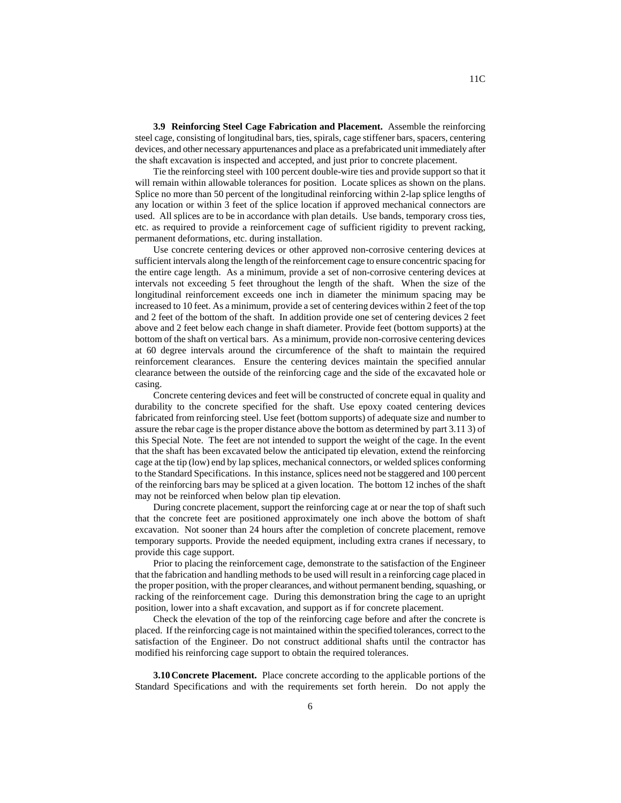**3.9 Reinforcing Steel Cage Fabrication and Placement.** Assemble the reinforcing steel cage, consisting of longitudinal bars, ties, spirals, cage stiffener bars, spacers, centering devices, and other necessary appurtenances and place as a prefabricated unit immediately after the shaft excavation is inspected and accepted, and just prior to concrete placement.

Tie the reinforcing steel with 100 percent double-wire ties and provide support so that it will remain within allowable tolerances for position. Locate splices as shown on the plans. Splice no more than 50 percent of the longitudinal reinforcing within 2-lap splice lengths of any location or within 3 feet of the splice location if approved mechanical connectors are used. All splices are to be in accordance with plan details. Use bands, temporary cross ties, etc. as required to provide a reinforcement cage of sufficient rigidity to prevent racking, permanent deformations, etc. during installation.

Use concrete centering devices or other approved non-corrosive centering devices at sufficient intervals along the length of the reinforcement cage to ensure concentric spacing for the entire cage length. As a minimum, provide a set of non-corrosive centering devices at intervals not exceeding 5 feet throughout the length of the shaft. When the size of the longitudinal reinforcement exceeds one inch in diameter the minimum spacing may be increased to 10 feet. As a minimum, provide a set of centering devices within 2 feet of the top and 2 feet of the bottom of the shaft. In addition provide one set of centering devices 2 feet above and 2 feet below each change in shaft diameter. Provide feet (bottom supports) at the bottom of the shaft on vertical bars. As a minimum, provide non-corrosive centering devices at 60 degree intervals around the circumference of the shaft to maintain the required reinforcement clearances. Ensure the centering devices maintain the specified annular clearance between the outside of the reinforcing cage and the side of the excavated hole or casing.

Concrete centering devices and feet will be constructed of concrete equal in quality and durability to the concrete specified for the shaft. Use epoxy coated centering devices fabricated from reinforcing steel. Use feet (bottom supports) of adequate size and number to assure the rebar cage is the proper distance above the bottom as determined by part 3.11 3) of this Special Note. The feet are not intended to support the weight of the cage. In the event that the shaft has been excavated below the anticipated tip elevation, extend the reinforcing cage at the tip (low) end by lap splices, mechanical connectors, or welded splices conforming to the Standard Specifications. In this instance, splices need not be staggered and 100 percent of the reinforcing bars may be spliced at a given location. The bottom 12 inches of the shaft may not be reinforced when below plan tip elevation.

During concrete placement, support the reinforcing cage at or near the top of shaft such that the concrete feet are positioned approximately one inch above the bottom of shaft excavation. Not sooner than 24 hours after the completion of concrete placement, remove temporary supports. Provide the needed equipment, including extra cranes if necessary, to provide this cage support.

Prior to placing the reinforcement cage, demonstrate to the satisfaction of the Engineer that the fabrication and handling methods to be used will result in a reinforcing cage placed in the proper position, with the proper clearances, and without permanent bending, squashing, or racking of the reinforcement cage. During this demonstration bring the cage to an upright position, lower into a shaft excavation, and support as if for concrete placement.

Check the elevation of the top of the reinforcing cage before and after the concrete is placed. If the reinforcing cage is not maintained within the specified tolerances, correct to the satisfaction of the Engineer. Do not construct additional shafts until the contractor has modified his reinforcing cage support to obtain the required tolerances.

**3.10 Concrete Placement.** Place concrete according to the applicable portions of the Standard Specifications and with the requirements set forth herein. Do not apply the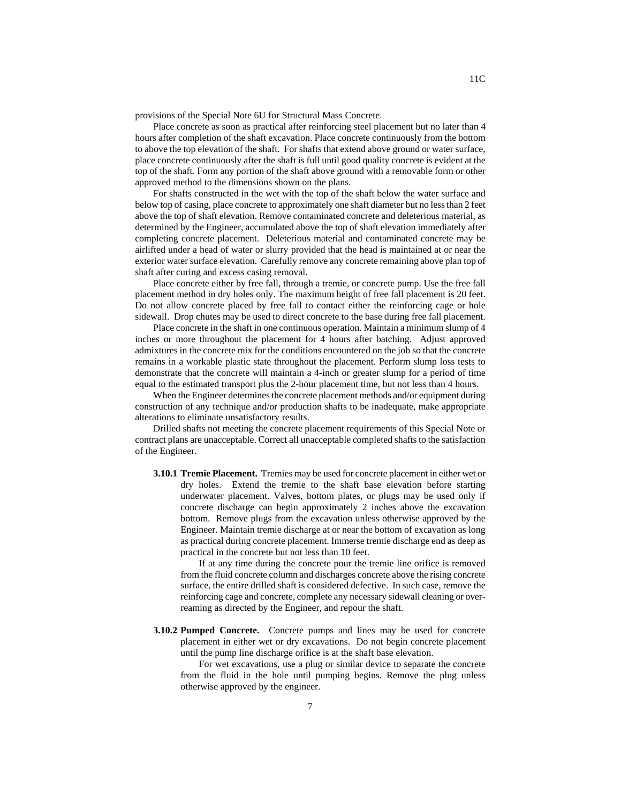provisions of the Special Note 6U for Structural Mass Concrete.

Place concrete as soon as practical after reinforcing steel placement but no later than 4 hours after completion of the shaft excavation. Place concrete continuously from the bottom to above the top elevation of the shaft. For shafts that extend above ground or water surface, place concrete continuously after the shaft is full until good quality concrete is evident at the top of the shaft. Form any portion of the shaft above ground with a removable form or other approved method to the dimensions shown on the plans.

For shafts constructed in the wet with the top of the shaft below the water surface and below top of casing, place concrete to approximately one shaft diameter but no less than 2 feet above the top of shaft elevation. Remove contaminated concrete and deleterious material, as determined by the Engineer, accumulated above the top of shaft elevation immediately after completing concrete placement. Deleterious material and contaminated concrete may be airlifted under a head of water or slurry provided that the head is maintained at or near the exterior water surface elevation. Carefully remove any concrete remaining above plan top of shaft after curing and excess casing removal.

Place concrete either by free fall, through a tremie, or concrete pump. Use the free fall placement method in dry holes only. The maximum height of free fall placement is 20 feet. Do not allow concrete placed by free fall to contact either the reinforcing cage or hole sidewall. Drop chutes may be used to direct concrete to the base during free fall placement.

Place concrete in the shaft in one continuous operation. Maintain a minimum slump of 4 inches or more throughout the placement for 4 hours after batching. Adjust approved admixtures in the concrete mix for the conditions encountered on the job so that the concrete remains in a workable plastic state throughout the placement. Perform slump loss tests to demonstrate that the concrete will maintain a 4-inch or greater slump for a period of time equal to the estimated transport plus the 2-hour placement time, but not less than 4 hours.

When the Engineer determines the concrete placement methods and/or equipment during construction of any technique and/or production shafts to be inadequate, make appropriate alterations to eliminate unsatisfactory results.

Drilled shafts not meeting the concrete placement requirements of this Special Note or contract plans are unacceptable. Correct all unacceptable completed shafts to the satisfaction of the Engineer.

**3.10.1 Tremie Placement.** Tremies may be used for concrete placement in either wet or dry holes. Extend the tremie to the shaft base elevation before starting underwater placement. Valves, bottom plates, or plugs may be used only if concrete discharge can begin approximately 2 inches above the excavation bottom. Remove plugs from the excavation unless otherwise approved by the Engineer. Maintain tremie discharge at or near the bottom of excavation as long as practical during concrete placement. Immerse tremie discharge end as deep as practical in the concrete but not less than 10 feet.

If at any time during the concrete pour the tremie line orifice is removed from the fluid concrete column and discharges concrete above the rising concrete surface, the entire drilled shaft is considered defective. In such case, remove the reinforcing cage and concrete, complete any necessary sidewall cleaning or overreaming as directed by the Engineer, and repour the shaft.

**3.10.2 Pumped Concrete.** Concrete pumps and lines may be used for concrete placement in either wet or dry excavations. Do not begin concrete placement until the pump line discharge orifice is at the shaft base elevation.

For wet excavations, use a plug or similar device to separate the concrete from the fluid in the hole until pumping begins. Remove the plug unless otherwise approved by the engineer.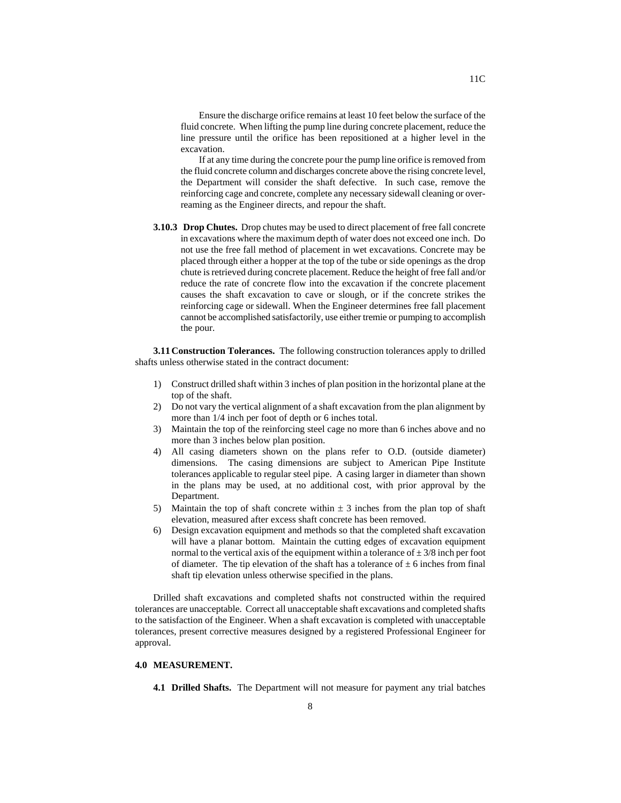Ensure the discharge orifice remains at least 10 feet below the surface of the fluid concrete. When lifting the pump line during concrete placement, reduce the line pressure until the orifice has been repositioned at a higher level in the excavation.

If at any time during the concrete pour the pump line orifice is removed from the fluid concrete column and discharges concrete above the rising concrete level, the Department will consider the shaft defective. In such case, remove the reinforcing cage and concrete, complete any necessary sidewall cleaning or overreaming as the Engineer directs, and repour the shaft.

**3.10.3 Drop Chutes.** Drop chutes may be used to direct placement of free fall concrete in excavations where the maximum depth of water does not exceed one inch. Do not use the free fall method of placement in wet excavations. Concrete may be placed through either a hopper at the top of the tube or side openings as the drop chute is retrieved during concrete placement. Reduce the height of free fall and/or reduce the rate of concrete flow into the excavation if the concrete placement causes the shaft excavation to cave or slough, or if the concrete strikes the reinforcing cage or sidewall. When the Engineer determines free fall placement cannot be accomplished satisfactorily, use either tremie or pumping to accomplish the pour.

**3.11 Construction Tolerances.** The following construction tolerances apply to drilled shafts unless otherwise stated in the contract document:

- 1) Construct drilled shaft within 3 inches of plan position in the horizontal plane at the top of the shaft.
- 2) Do not vary the vertical alignment of a shaft excavation from the plan alignment by more than 1/4 inch per foot of depth or 6 inches total.
- 3) Maintain the top of the reinforcing steel cage no more than 6 inches above and no more than 3 inches below plan position.
- 4) All casing diameters shown on the plans refer to O.D. (outside diameter) dimensions. The casing dimensions are subject to American Pipe Institute tolerances applicable to regular steel pipe. A casing larger in diameter than shown in the plans may be used, at no additional cost, with prior approval by the Department.
- 5) Maintain the top of shaft concrete within  $\pm$  3 inches from the plan top of shaft elevation, measured after excess shaft concrete has been removed.
- 6) Design excavation equipment and methods so that the completed shaft excavation will have a planar bottom. Maintain the cutting edges of excavation equipment normal to the vertical axis of the equipment within a tolerance of  $\pm$  3/8 inch per foot of diameter. The tip elevation of the shaft has a tolerance of  $\pm$  6 inches from final shaft tip elevation unless otherwise specified in the plans.

Drilled shaft excavations and completed shafts not constructed within the required tolerances are unacceptable. Correct all unacceptable shaft excavations and completed shafts to the satisfaction of the Engineer. When a shaft excavation is completed with unacceptable tolerances, present corrective measures designed by a registered Professional Engineer for approval.

## **4.0 MEASUREMENT.**

**4.1 Drilled Shafts.** The Department will not measure for payment any trial batches